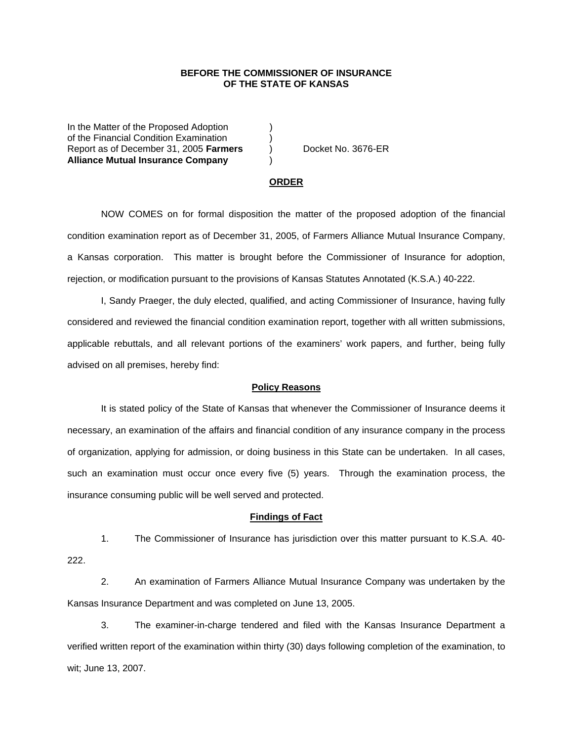## **BEFORE THE COMMISSIONER OF INSURANCE OF THE STATE OF KANSAS**

In the Matter of the Proposed Adoption of the Financial Condition Examination ) Report as of December 31, 2005 **Farmers** ) Docket No. 3676-ER **Alliance Mutual Insurance Company** )

#### **ORDER**

 NOW COMES on for formal disposition the matter of the proposed adoption of the financial condition examination report as of December 31, 2005, of Farmers Alliance Mutual Insurance Company, a Kansas corporation. This matter is brought before the Commissioner of Insurance for adoption, rejection, or modification pursuant to the provisions of Kansas Statutes Annotated (K.S.A.) 40-222.

 I, Sandy Praeger, the duly elected, qualified, and acting Commissioner of Insurance, having fully considered and reviewed the financial condition examination report, together with all written submissions, applicable rebuttals, and all relevant portions of the examiners' work papers, and further, being fully advised on all premises, hereby find:

### **Policy Reasons**

 It is stated policy of the State of Kansas that whenever the Commissioner of Insurance deems it necessary, an examination of the affairs and financial condition of any insurance company in the process of organization, applying for admission, or doing business in this State can be undertaken. In all cases, such an examination must occur once every five (5) years. Through the examination process, the insurance consuming public will be well served and protected.

#### **Findings of Fact**

 1. The Commissioner of Insurance has jurisdiction over this matter pursuant to K.S.A. 40- 222.

 2. An examination of Farmers Alliance Mutual Insurance Company was undertaken by the Kansas Insurance Department and was completed on June 13, 2005.

 3. The examiner-in-charge tendered and filed with the Kansas Insurance Department a verified written report of the examination within thirty (30) days following completion of the examination, to wit; June 13, 2007.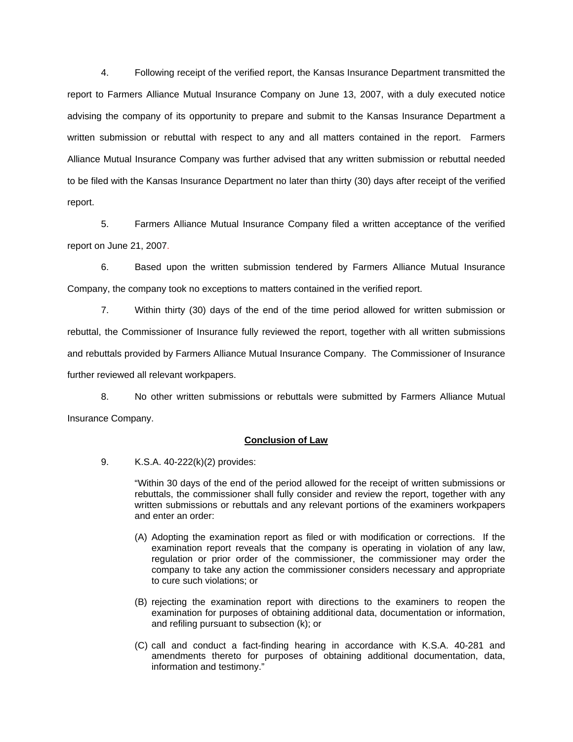4. Following receipt of the verified report, the Kansas Insurance Department transmitted the report to Farmers Alliance Mutual Insurance Company on June 13, 2007, with a duly executed notice advising the company of its opportunity to prepare and submit to the Kansas Insurance Department a written submission or rebuttal with respect to any and all matters contained in the report. Farmers Alliance Mutual Insurance Company was further advised that any written submission or rebuttal needed to be filed with the Kansas Insurance Department no later than thirty (30) days after receipt of the verified report.

 5. Farmers Alliance Mutual Insurance Company filed a written acceptance of the verified report on June 21, 2007.

6. Based upon the written submission tendered by Farmers Alliance Mutual Insurance Company, the company took no exceptions to matters contained in the verified report.

 7. Within thirty (30) days of the end of the time period allowed for written submission or rebuttal, the Commissioner of Insurance fully reviewed the report, together with all written submissions and rebuttals provided by Farmers Alliance Mutual Insurance Company. The Commissioner of Insurance further reviewed all relevant workpapers.

 8. No other written submissions or rebuttals were submitted by Farmers Alliance Mutual Insurance Company.

## **Conclusion of Law**

9. K.S.A. 40-222(k)(2) provides:

"Within 30 days of the end of the period allowed for the receipt of written submissions or rebuttals, the commissioner shall fully consider and review the report, together with any written submissions or rebuttals and any relevant portions of the examiners workpapers and enter an order:

- (A) Adopting the examination report as filed or with modification or corrections. If the examination report reveals that the company is operating in violation of any law, regulation or prior order of the commissioner, the commissioner may order the company to take any action the commissioner considers necessary and appropriate to cure such violations; or
- (B) rejecting the examination report with directions to the examiners to reopen the examination for purposes of obtaining additional data, documentation or information, and refiling pursuant to subsection (k); or
- (C) call and conduct a fact-finding hearing in accordance with K.S.A. 40-281 and amendments thereto for purposes of obtaining additional documentation, data, information and testimony."